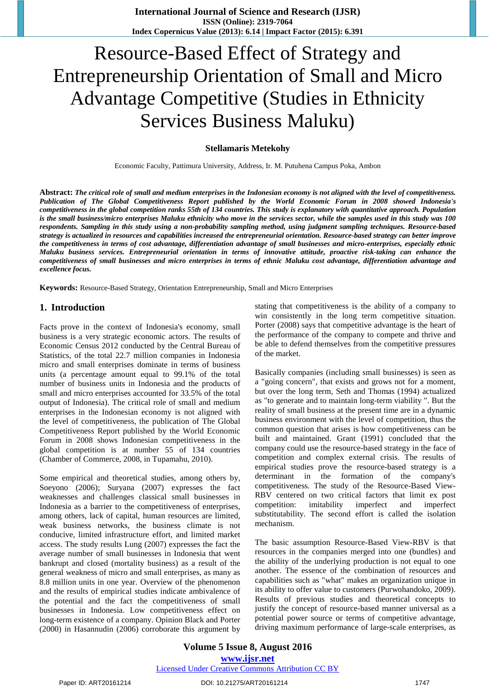# Resource-Based Effect of Strategy and Entrepreneurship Orientation of Small and Micro Advantage Competitive (Studies in Ethnicity Services Business Maluku)

#### **Stellamaris Metekohy**

Economic Faculty, Pattimura University, Address, Ir. M. Putuhena Campus Poka, Ambon

**Abstract:** *The critical role of small and medium enterprises in the Indonesian economy is not aligned with the level of competitiveness. Publication of The Global Competitiveness Report published by the World Economic Forum in 2008 showed Indonesia's competitiveness in the global competition ranks 55th of 134 countries. This study is explanatory with quantitative approach. Population* is the small business/micro enterprises Maluku ethnicity who move in the services sector, while the samples used in this study was 100 *respondents. Sampling in this study using a non-probability sampling method, using judgment sampling techniques. Resource-based strategy is actualized in resources and capabilities increased the entrepreneurial orientation. Resource-based strategy can better improve the competitiveness in terms of cost advantage, differentiation advantage of small businesses and micro-enterprises, especially ethnic Maluku business services. Entrepreneurial orientation in terms of innovative attitude, proactive risk-taking can enhance the competitiveness of small businesses and micro enterprises in terms of ethnic Maluku cost advantage, differentiation advantage and excellence focus.* 

**Keywords:** Resource-Based Strategy, Orientation Entrepreneurship, Small and Micro Enterprises

#### **1. Introduction**

Facts prove in the context of Indonesia's economy, small business is a very strategic economic actors. The results of Economic Census 2012 conducted by the Central Bureau of Statistics, of the total 22.7 million companies in Indonesia micro and small enterprises dominate in terms of business units (a percentage amount equal to 99.1% of the total number of business units in Indonesia and the products of small and micro enterprises accounted for 33.5% of the total output of Indonesia). The critical role of small and medium enterprises in the Indonesian economy is not aligned with the level of competitiveness, the publication of The Global Competitiveness Report published by the World Economic Forum in 2008 shows Indonesian competitiveness in the global competition is at number 55 of 134 countries (Chamber of Commerce, 2008, in Tupamahu, 2010).

Some empirical and theoretical studies, among others by, Soeyono (2006); Suryana (2007) expresses the fact weaknesses and challenges classical small businesses in Indonesia as a barrier to the competitiveness of enterprises, among others, lack of capital, human resources are limited, weak business networks, the business climate is not conducive, limited infrastructure effort, and limited market access. The study results Lung (2007) expresses the fact the average number of small businesses in Indonesia that went bankrupt and closed (mortality business) as a result of the general weakness of micro and small enterprises, as many as 8.8 million units in one year. Overview of the phenomenon and the results of empirical studies indicate ambivalence of the potential and the fact the competitiveness of small businesses in Indonesia. Low competitiveness effect on long-term existence of a company. Opinion Black and Porter (2000) in Hasannudin (2006) corroborate this argument by stating that competitiveness is the ability of a company to win consistently in the long term competitive situation. Porter (2008) says that competitive advantage is the heart of the performance of the company to compete and thrive and be able to defend themselves from the competitive pressures of the market.

Basically companies (including small businesses) is seen as a "going concern", that exists and grows not for a moment, but over the long term, Seth and Thomas (1994) actualized as "to generate and to maintain long-term viability ". But the reality of small business at the present time are in a dynamic business environment with the level of competition, thus the common question that arises is how competitiveness can be built and maintained. Grant (1991) concluded that the company could use the resource-based strategy in the face of competition and complex external crisis. The results of empirical studies prove the resource-based strategy is a determinant in the formation of the company's competitiveness. The study of the Resource-Based View-RBV centered on two critical factors that limit ex post competition: imitability imperfect and imperfect substitutability. The second effort is called the isolation mechanism.

The basic assumption Resource-Based View-RBV is that resources in the companies merged into one (bundles) and the ability of the underlying production is not equal to one another. The essence of the combination of resources and capabilities such as "what" makes an organization unique in its ability to offer value to customers (Purwohandoko, 2009). Results of previous studies and theoretical concepts to justify the concept of resource-based manner universal as a potential power source or terms of competitive advantage, driving maximum performance of large-scale enterprises, as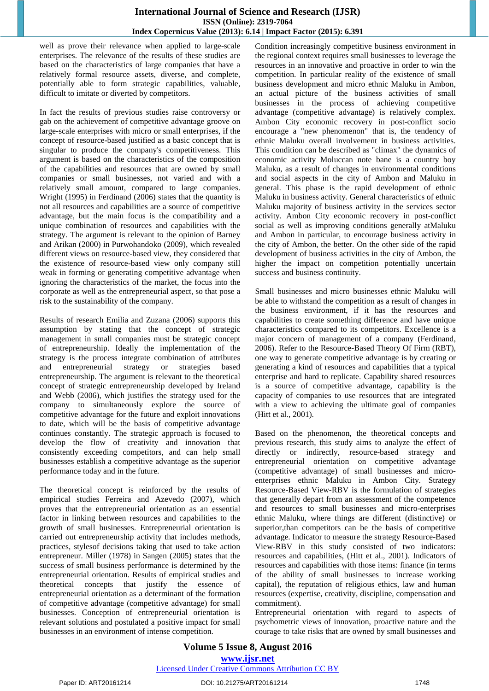#### **International Journal of Science and Research (IJSR) ISSN (Online): 2319-7064 Index Copernicus Value (2013): 6.14 | Impact Factor (2015): 6.391**

well as prove their relevance when applied to large-scale enterprises. The relevance of the results of these studies are based on the characteristics of large companies that have a relatively formal resource assets, diverse, and complete, potentially able to form strategic capabilities, valuable, difficult to imitate or diverted by competitors.

In fact the results of previous studies raise controversy or gab on the achievement of competitive advantage groove on large-scale enterprises with micro or small enterprises, if the concept of resource-based justified as a basic concept that is singular to produce the company's competitiveness. This argument is based on the characteristics of the composition of the capabilities and resources that are owned by small companies or small businesses, not varied and with a relatively small amount, compared to large companies. Wright (1995) in Ferdinand (2006) states that the quantity is not all resources and capabilities are a source of competitive advantage, but the main focus is the compatibility and a unique combination of resources and capabilities with the strategy. The argument is relevant to the opinion of Barney and Arikan (2000) in Purwohandoko (2009), which revealed different views on resource-based view, they considered that the existence of resource-based view only company still weak in forming or generating competitive advantage when ignoring the characteristics of the market, the focus into the corporate as well as the entrepreneurial aspect, so that pose a risk to the sustainability of the company.

Results of research Emilia and Zuzana (2006) supports this assumption by stating that the concept of strategic management in small companies must be strategic concept of entrepreneurship. Ideally the implementation of the strategy is the process integrate combination of attributes and entrepreneurial strategy or strategies based entrepreneurship. The argument is relevant to the theoretical concept of strategic entrepreneurship developed by Ireland and Webb (2006), which justifies the strategy used for the company to simultaneously explore the source of competitive advantage for the future and exploit innovations to date, which will be the basis of competitive advantage continues constantly. The strategic approach is focused to develop the flow of creativity and innovation that consistently exceeding competitors, and can help small businesses establish a competitive advantage as the superior performance today and in the future.

The theoretical concept is reinforced by the results of empirical studies Ferreira and Azevedo (2007), which proves that the entrepreneurial orientation as an essential factor in linking between resources and capabilities to the growth of small businesses. Entrepreneurial orientation is carried out entrepreneurship activity that includes methods, practices, stylesof decisions taking that used to take action entrepreneur. Miller (1978) in Sangen (2005) states that the success of small business performance is determined by the entrepreneurial orientation. Results of empirical studies and theoretical concepts that justify the essence of entrepreneurial orientation as a determinant of the formation of competitive advantage (competitive advantage) for small businesses. Conception of entrepreneurial orientation is relevant solutions and postulated a positive impact for small businesses in an environment of intense competition.

Condition increasingly competitive business environment in the regional context requires small businesses to leverage the resources in an innovative and proactive in order to win the competition. In particular reality of the existence of small business development and micro ethnic Maluku in Ambon, an actual picture of the business activities of small businesses in the process of achieving competitive advantage (competitive advantage) is relatively complex. Ambon City economic recovery in post-conflict socio encourage a "new phenomenon" that is, the tendency of ethnic Maluku overall involvement in business activities. This condition can be described as "climax" the dynamics of economic activity Moluccan note bane is a country boy Maluku, as a result of changes in environmental conditions and social aspects in the city of Ambon and Maluku in general. This phase is the rapid development of ethnic Maluku in business activity. General characteristics of ethnic Maluku majority of business activity in the services sector activity. Ambon City economic recovery in post-conflict social as well as improving conditions generally atMaluku and Ambon in particular, to encourage business activity in the city of Ambon, the better. On the other side of the rapid development of business activities in the city of Ambon, the higher the impact on competition potentially uncertain success and business continuity.

Small businesses and micro businesses ethnic Maluku will be able to withstand the competition as a result of changes in the business environment, if it has the resources and capabilities to create something difference and have unique characteristics compared to its competitors. Excellence is a major concern of management of a company (Ferdinand, 2006). Refer to the Resource-Based Theory Of Firm (RBT), one way to generate competitive advantage is by creating or generating a kind of resources and capabilities that a typical enterprise and hard to replicate. Capability shared resources is a source of competitive advantage, capability is the capacity of companies to use resources that are integrated with a view to achieving the ultimate goal of companies (Hitt et al., 2001).

Based on the phenomenon, the theoretical concepts and previous research, this study aims to analyze the effect of directly or indirectly, resource-based strategy and entrepreneurial orientation on competitive advantage (competitive advantage) of small businesses and microenterprises ethnic Maluku in Ambon City. Strategy Resource-Based View-RBV is the formulation of strategies that generally depart from an assessment of the competence and resources to small businesses and micro-enterprises ethnic Maluku, where things are different (distinctive) or superior,than competitors can be the basis of competitive advantage. Indicator to measure the strategy Resource-Based View-RBV in this study consisted of two indicators: resources and capabilities, (Hitt et al., 2001). Indicators of resources and capabilities with those items: finance (in terms of the ability of small businesses to increase working capital), the reputation of religious ethics, law and human resources (expertise, creativity, discipline, compensation and commitment).

Entrepreneurial orientation with regard to aspects of psychometric views of innovation, proactive nature and the courage to take risks that are owned by small businesses and

## **Volume 5 Issue 8, August 2016 www.ijsr.net**

#### Licensed Under Creative Commons Attribution CC BY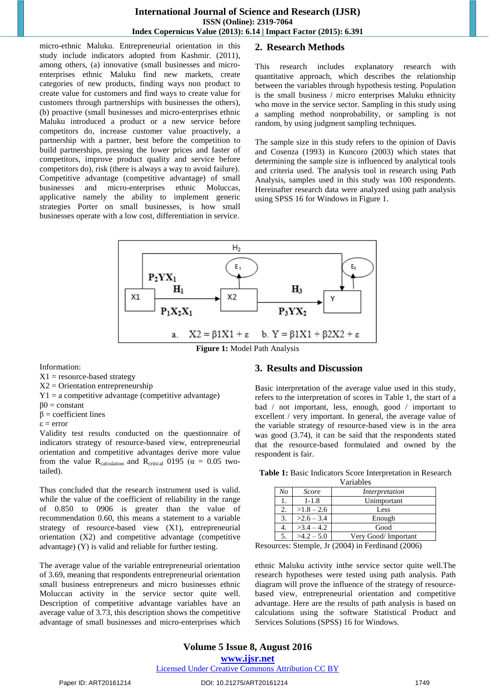#### **International Journal of Science and Research (IJSR) ISSN (Online): 2319-7064 Index Copernicus Value (2013): 6.14 | Impact Factor (2015): 6.391**

micro-ethnic Maluku. Entrepreneurial orientation in this study include indicators adopted from Kashmir. (2011), among others, (a) innovative (small businesses and microenterprises ethnic Maluku find new markets, create categories of new products, finding ways non product to create value for customers and find ways to create value for customers through partnerships with businesses the others), (b) proactive (small businesses and micro-enterprises ethnic Maluku introduced a product or a new service before competitors do, increase customer value proactively, a partnership with a partner, best before the competition to build partnerships, pressing the lower prices and faster of competitors, improve product quality and service before competitors do), risk (there is always a way to avoid failure). Competitive advantage (competitive advantage) of small businesses and micro-enterprises ethnic Moluccas, applicative namely the ability to implement generic strategies Porter on small businesses, is how small businesses operate with a low cost, differentiation in service.

### **2. Research Methods**

This research includes explanatory research with quantitative approach, which describes the relationship between the variables through hypothesis testing. Population is the small business / micro enterprises Maluku ethnicity who move in the service sector. Sampling in this study using a sampling method nonprobability, or sampling is not random, by using judgment sampling techniques.

The sample size in this study refers to the opinion of Davis and Cosenza (1993) in Kuncoro (2003) which states that determining the sample size is influenced by analytical tools and criteria used. The analysis tool in research using Path Analysis, samples used in this study was 100 respondents. Hereinafter research data were analyzed using path analysis using SPSS 16 for Windows in Figure 1.



**Figure 1:** Model Path Analysis

Information:

- $X1$  = resource-based strategy
- X2 = Orientation entrepreneurship
- $Y1 = a$  competitive advantage (competitive advantage)
- $β0 = constant$
- $β = coefficient$  lines
- ε = error

Validity test results conducted on the questionnaire of indicators strategy of resource-based view, entrepreneurial orientation and competitive advantages derive more value from the value R<sub>calculation</sub> and R<sub>critical</sub> 0195 ( $\alpha = 0.05$  twotailed).

Thus concluded that the research instrument used is valid. while the value of the coefficient of reliability in the range of 0.850 to 0906 is greater than the value of recommendation 0.60, this means a statement to a variable strategy of resource-based view (X1), entrepreneurial orientation (X2) and competitive advantage (competitive advantage) (Y) is valid and reliable for further testing.

The average value of the variable entrepreneurial orientation of 3.69, meaning that respondents entrepreneurial orientation small business entrepreneurs and micro businesses ethnic Moluccan activity in the service sector quite well. Description of competitive advantage variables have an average value of 3.73, this description shows the competitive advantage of small businesses and micro-enterprises which

#### **3. Results and Discussion**

Basic interpretation of the average value used in this study, refers to the interpretation of scores in Table 1, the start of a bad / not important, less, enough, good / important to excellent / very important. In general, the average value of the variable strategy of resource-based view is in the area was good (3.74), it can be said that the respondents stated that the resource-based formulated and owned by the respondent is fair.

| Variables                    |              |                     |  |  |  |  |  |
|------------------------------|--------------|---------------------|--|--|--|--|--|
| No                           | Score        | Interpretation      |  |  |  |  |  |
| 1.                           | $1 - 1.8$    | Unimportant         |  |  |  |  |  |
| 2.                           | $>1.8 - 2.6$ | Less                |  |  |  |  |  |
| $>2.6 - 3.4$<br>3.<br>Enough |              |                     |  |  |  |  |  |
| 4.                           | $>3.4-4.2$   | Good                |  |  |  |  |  |
|                              | $>4.2 - 5.0$ | Very Good/Important |  |  |  |  |  |

**Table 1:** Basic Indicators Score Interpretation in Research

Resources: Stemple, Jr (2004) in Ferdinand (2006)

ethnic Maluku activity inthe service sector quite well.The research hypotheses were tested using path analysis. Path diagram will prove the influence of the strategy of resourcebased view, entrepreneurial orientation and competitive advantage. Here are the results of path analysis is based on calculations using the software Statistical Product and Services Solutions (SPSS) 16 for Windows.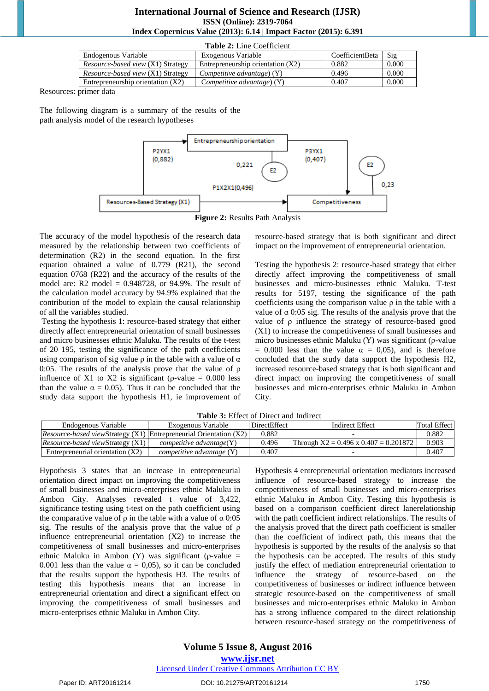#### **International Journal of Science and Research (IJSR) ISSN (Online): 2319-7064 Index Copernicus Value (2013): 6.14 | Impact Factor (2015): 6.391**

| <b>Table 2:</b> Line Coefficient         |                                     |                 |       |  |  |  |  |  |
|------------------------------------------|-------------------------------------|-----------------|-------|--|--|--|--|--|
| Endogenous Variable                      | Exogenous Variable                  | CoefficientBeta | Sig   |  |  |  |  |  |
| <i>Resource-based view (X1) Strategy</i> | Entrepreneurship orientation $(X2)$ | 0.882           | 0.000 |  |  |  |  |  |
| <i>Resource-based view</i> (X1) Strategy | Competitive advantage) $(Y)$        | 0.496           | 0.000 |  |  |  |  |  |
| Entrepreneurship orientation $(X2)$      | Competitive advantage) $(Y)$        | 0.407           | 0.000 |  |  |  |  |  |

 $T_1$   $T_2$   $T_3$ 

Resources: primer data

The following diagram is a summary of the results of the path analysis model of the research hypotheses



The accuracy of the model hypothesis of the research data measured by the relationship between two coefficients of determination (R2) in the second equation. In the first equation obtained a value of 0.779 (R21), the second equation 0768 (R22) and the accuracy of the results of the model are: R2 model  $= 0.948728$ , or 94.9%. The result of the calculation model accuracy by 94.9% explained that the contribution of the model to explain the causal relationship of all the variables studied.

 Testing the hypothesis 1: resource-based strategy that either directly affect entrepreneurial orientation of small businesses and micro businesses ethnic Maluku. The results of the t-test of 20 195, testing the significance of the path coefficients using comparison of sig value  $\rho$  in the table with a value of  $\alpha$ 0:05. The results of the analysis prove that the value of  $\rho$ influence of X1 to X2 is significant ( $\rho$ -value = 0.000 less than the value  $\alpha = 0.05$ ). Thus it can be concluded that the study data support the hypothesis H1, ie improvement of resource-based strategy that is both significant and direct impact on the improvement of entrepreneurial orientation.

Testing the hypothesis 2: resource-based strategy that either directly affect improving the competitiveness of small businesses and micro-businesses ethnic Maluku. T-test results for 5197, testing the significance of the path coefficients using the comparison value  $\rho$  in the table with a value of  $\alpha$  0:05 sig. The results of the analysis prove that the value of ρ influence the strategy of resource-based good (X1) to increase the competitiveness of small businesses and micro businesses ethnic Maluku (Y) was significant (ρ-value = 0.000 less than the value  $\alpha$  = 0,05), and is therefore concluded that the study data support the hypothesis H2, increased resource-based strategy that is both significant and direct impact on improving the competitiveness of small businesses and micro-enterprises ethnic Maluku in Ambon City.

| <b>Table 3.</b> Effect of Direct and multer                                |                                        |              |                                           |                     |  |  |  |  |  |  |
|----------------------------------------------------------------------------|----------------------------------------|--------------|-------------------------------------------|---------------------|--|--|--|--|--|--|
| Endogenous Variable                                                        | Exogenous Variable                     | DirectEffect | Indirect Effect                           | <b>Total Effect</b> |  |  |  |  |  |  |
| <i>Resource-based viewStrategy (X1)</i> Entrepreneurial Orientation $(X2)$ |                                        | 0.882        |                                           | 0.882               |  |  |  |  |  |  |
| <i>Resource-based viewStrategy (X1)</i>                                    | $\mathit{competitive}$ advantage $(Y)$ | 0.496        | Through $X2 = 0.496$ x $0.407 = 0.201872$ | 0.903               |  |  |  |  |  |  |
| Entrepreneurial orientation $(X2)$                                         | <i>competitive advantage</i> $(Y)$     | 0.407        | -                                         | 0.407               |  |  |  |  |  |  |

**Table 3:** Effect of Direct and Indirect

Hypothesis 3 states that an increase in entrepreneurial orientation direct impact on improving the competitiveness of small businesses and micro-enterprises ethnic Maluku in Ambon City. Analyses revealed t value of 3,422, significance testing using t-test on the path coefficient using the comparative value of  $\rho$  in the table with a value of  $\alpha$  0:05 sig. The results of the analysis prove that the value of ρ influence entrepreneurial orientation (X2) to increase the competitiveness of small businesses and micro-enterprises ethnic Maluku in Ambon (Y) was significant ( $\rho$ -value = 0.001 less than the value  $\alpha = 0.05$ , so it can be concluded that the results support the hypothesis H3. The results of testing this hypothesis means that an increase in entrepreneurial orientation and direct a significant effect on improving the competitiveness of small businesses and micro-enterprises ethnic Maluku in Ambon City.

Hypothesis 4 entrepreneurial orientation mediators increased influence of resource-based strategy to increase the competitiveness of small businesses and micro-enterprises ethnic Maluku in Ambon City. Testing this hypothesis is based on a comparison coefficient direct lanerelationship with the path coefficient indirect relationships. The results of the analysis proved that the direct path coefficient is smaller than the coefficient of indirect path, this means that the hypothesis is supported by the results of the analysis so that the hypothesis can be accepted. The results of this study justify the effect of mediation entrepreneurial orientation to influence the strategy of resource-based on the competitiveness of businesses or indirect influence between strategic resource-based on the competitiveness of small businesses and micro-enterprises ethnic Maluku in Ambon has a strong influence compared to the direct relationship between resource-based strategy on the competitiveness of

#### Paper ID: ART20161214 DOI: 10.21275/ART20161214 1750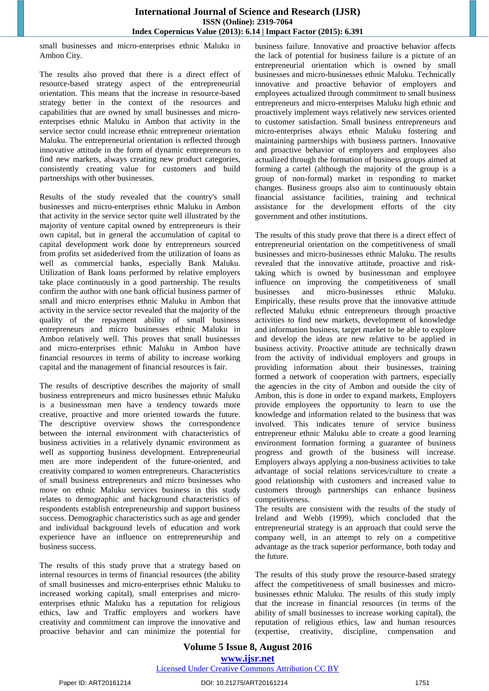small businesses and micro-enterprises ethnic Maluku in Ambon City.

The results also proved that there is a direct effect of resource-based strategy aspect of the entrepreneurial orientation. This means that the increase in resource-based strategy better in the context of the resources and capabilities that are owned by small businesses and microenterprises ethnic Maluku in Ambon that activity in the service sector could increase ethnic entrepreneur orientation Maluku. The entrepreneurial orientation is reflected through innovative attitude in the form of dynamic entrepreneurs to find new markets, always creating new product categories, consistently creating value for customers and build partnerships with other businesses.

Results of the study revealed that the country's small businesses and micro-enterprises ethnic Maluku in Ambon that activity in the service sector quite well illustrated by the majority of venture capital owned by entrepreneurs is their own capital, but in general the accumulation of capital to capital development work done by entrepreneurs sourced from profits set asidederived from the utilization of loans as well as commercial banks, especially Bank Maluku. Utilization of Bank loans performed by relative employers take place continuously in a good partnership. The results confirm the author with one bank official business partner of small and micro enterprises ethnic Maluku in Ambon that activity in the service sector revealed that the majority of the quality of the repayment ability of small business entrepreneurs and micro businesses ethnic Maluku in Ambon relatively well. This proves that small businesses and micro-enterprises ethnic Maluku in Ambon have financial resources in terms of ability to increase working capital and the management of financial resources is fair.

The results of descriptive describes the majority of small business entrepreneurs and micro businesses ethnic Maluku is a businessman men have a tendency towards more creative, proactive and more oriented towards the future. The descriptive overview shows the correspondence between the internal environment with characteristics of business activities in a relatively dynamic environment as well as supporting business development. Entrepreneurial men are more independent of the future-oriented, and creativity compared to women entrepreneurs. Characteristics of small business entrepreneurs and micro businesses who move on ethnic Maluku services business in this study relates to demographic and background characteristics of respondents establish entrepreneurship and support business success. Demographic characteristics such as age and gender and individual background levels of education and work experience have an influence on entrepreneurship and business success.

The results of this study prove that a strategy based on internal resources in terms of financial resources (the ability of small businesses and micro-enterprises ethnic Maluku to increased working capital), small enterprises and microenterprises ethnic Maluku has a reputation for religious ethics, law and Traffic employers and workers have creativity and commitment can improve the innovative and proactive behavior and can minimize the potential for business failure. Innovative and proactive behavior affects the lack of potential for business failure is a picture of an entrepreneurial orientation which is owned by small businesses and micro-businesses ethnic Maluku. Technically innovative and proactive behavior of employers and employees actualized through commitment to small business entrepreneurs and micro-enterprises Maluku high ethnic and proactively implement ways relatively new services oriented to customer satisfaction. Small business entrepreneurs and micro-enterprises always ethnic Maluku fostering and maintaining partnerships with business partners. Innovative and proactive behavior of employers and employees also actualized through the formation of business groups aimed at forming a cartel (although the majority of the group is a group of non-formal) market in responding to market changes. Business groups also aim to continuously obtain financial assistance facilities, training and technical assistance for the development efforts of the city government and other institutions.

The results of this study prove that there is a direct effect of entrepreneurial orientation on the competitiveness of small businesses and micro-businesses ethnic Maluku. The results revealed that the innovative attitude, proactive and risktaking which is owned by businessman and employee influence on improving the competitiveness of small businesses and micro-businesses ethnic Maluku. Empirically, these results prove that the innovative attitude reflected Maluku ethnic entrepreneurs through proactive activities to find new markets, development of knowledge and information business, target market to be able to explore and develop the ideas are new relative to be applied in business activity. Proactive attitude are technically drawn from the activity of individual employers and groups in providing information about their businesses, training formed a network of cooperation with partners, especially the agencies in the city of Ambon and outside the city of Ambon, this is done in order to expand markets, Employers provide employees the opportunity to learn to use the knowledge and information related to the business that was involved. This indicates tenure of service business entrepreneur ethnic Maluku able to create a good learning environment formation forming a guarantee of business progress and growth of the business will increase. Employers always applying a non-business activities to take advantage of social relations services/culture to create a good relationship with customers and increased value to customers through partnerships can enhance business competitiveness.

The results are consistent with the results of the study of Ireland and Webb (1999), which concluded that the entrepreneurial strategy is an approach that could serve the company well, in an attempt to rely on a competitive advantage as the track superior performance, both today and the future.

The results of this study prove the resource-based strategy affect the competitiveness of small businesses and microbusinesses ethnic Maluku. The results of this study imply that the increase in financial resources (in terms of the ability of small businesses to increase working capital), the reputation of religious ethics, law and human resources (expertise, creativity, discipline, compensation and

### **Volume 5 Issue 8, August 2016 www.ijsr.net** Licensed Under Creative Commons Attribution CC BY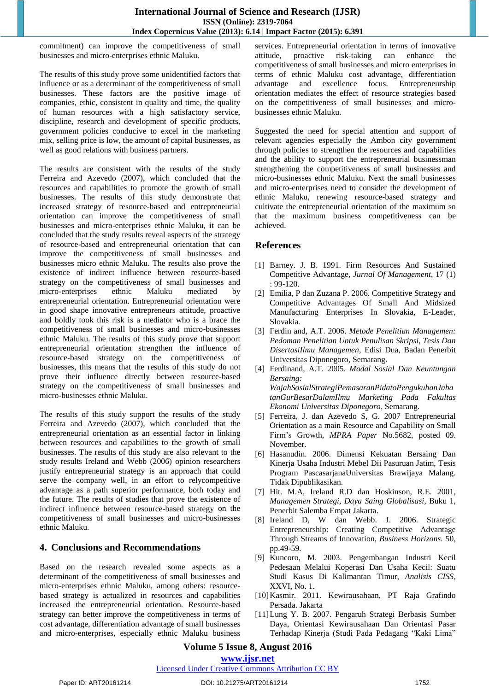commitment) can improve the competitiveness of small businesses and micro-enterprises ethnic Maluku.

The results of this study prove some unidentified factors that influence or as a determinant of the competitiveness of small businesses. These factors are the positive image of companies, ethic, consistent in quality and time, the quality of human resources with a high satisfactory service, discipline, research and development of specific products, government policies conducive to excel in the marketing mix, selling price is low, the amount of capital businesses, as well as good relations with business partners.

The results are consistent with the results of the study Ferreira and Azevedo (2007), which concluded that the resources and capabilities to promote the growth of small businesses. The results of this study demonstrate that increased strategy of resource-based and entrepreneurial orientation can improve the competitiveness of small businesses and micro-enterprises ethnic Maluku, it can be concluded that the study results reveal aspects of the strategy of resource-based and entrepreneurial orientation that can improve the competitiveness of small businesses and businesses micro ethnic Maluku. The results also prove the existence of indirect influence between resource-based strategy on the competitiveness of small businesses and micro-enterprises ethnic Maluku mediated by entrepreneurial orientation. Entrepreneurial orientation were in good shape innovative entrepreneurs attitude, proactive and boldly took this risk is a mediator who is a brace the competitiveness of small businesses and micro-businesses ethnic Maluku. The results of this study prove that support entrepreneurial orientation strengthen the influence of resource-based strategy on the competitiveness of businesses, this means that the results of this study do not prove their influence directly between resource-based strategy on the competitiveness of small businesses and micro-businesses ethnic Maluku.

The results of this study support the results of the study Ferreira and Azevedo (2007), which concluded that the entrepreneurial orientation as an essential factor in linking between resources and capabilities to the growth of small businesses. The results of this study are also relevant to the study results Ireland and Webb (2006) opinion researchers justify entrepreneurial strategy is an approach that could serve the company well, in an effort to relycompetitive advantage as a path superior performance, both today and the future. The results of studies that prove the existence of indirect influence between resource-based strategy on the competitiveness of small businesses and micro-businesses ethnic Maluku.

## **4. Conclusions and Recommendations**

Based on the research revealed some aspects as a determinant of the competitiveness of small businesses and micro-enterprises ethnic Maluku, among others: resourcebased strategy is actualized in resources and capabilities increased the entrepreneurial orientation. Resource-based strategy can better improve the competitiveness in terms of cost advantage, differentiation advantage of small businesses and micro-enterprises, especially ethnic Maluku business services. Entrepreneurial orientation in terms of innovative attitude, proactive risk-taking can enhance the competitiveness of small businesses and micro enterprises in terms of ethnic Maluku cost advantage, differentiation advantage and excellence focus. Entrepreneurship orientation mediates the effect of resource strategies based on the competitiveness of small businesses and microbusinesses ethnic Maluku.

Suggested the need for special attention and support of relevant agencies especially the Ambon city government through policies to strengthen the resources and capabilities and the ability to support the entrepreneurial businessman strengthening the competitiveness of small businesses and micro-businesses ethnic Maluku. Next the small businesses and micro-enterprises need to consider the development of ethnic Maluku, renewing resource-based strategy and cultivate the entrepreneurial orientation of the maximum so that the maximum business competitiveness can be achieved.

#### **References**

- [1] Barney. J. B. 1991. Firm Resources And Sustained Competitive Advantage, *Jurnal Of Management*, 17 (1) : 99-120.
- [2] Emilia, P dan Zuzana P. 2006. Competitive Strategy and Competitive Advantages Of Small And Midsized Manufacturing Enterprises In Slovakia, E-Leader, Slovakia.
- [3] Ferdin and, A.T. 2006. *Metode Penelitian Managemen: Pedoman Penelitian Untuk Penulisan Skripsi, Tesis Dan DisertasiIlmu Managemen*, Edisi Dua, Badan Penerbit Universitas Diponegoro, Semarang.
- [4] Ferdinand, A.T. 2005. *Modal Sosial Dan Keuntungan Bersaing: WajahSosialStrategiPemasaranPidatoPengukuhanJaba tanGurBesarDalamIlmu Marketing Pada Fakultas Ekonomi Universitas Diponegoro*, Semarang.
- [5] Ferreira, J. dan Azevedo S, G. 2007 Entrepreneurial Orientation as a main Resource and Capability on Small Firm's Growth, *MPRA Paper* No.5682, posted 09. November.
- [6] Hasanudin. 2006. Dimensi Kekuatan Bersaing Dan Kinerja Usaha Industri Mebel Dii Pasuruan Jatim, Tesis Program PascasarjanaUniversitas Brawijaya Malang. Tidak Dipublikasikan.
- [7] Hit. M.A, Ireland R.D dan Hoskinson, R.E. 2001, *Managemen Strategi, Daya Saing Globalisasi*, Buku 1, Penerbit Salemba Empat Jakarta.
- [8] Ireland D, W dan Webb. J. 2006. Strategic Entrepreneurship: Creating Competitive Advantage Through Streams of Innovation, *Business Horizons*. 50, pp.49-59.
- [9] Kuncoro, M. 2003. Pengembangan Industri Kecil Pedesaan Melalui Koperasi Dan Usaha Kecil: Suatu Studi Kasus Di Kalimantan Timur, *Analisis CISS*, XXVI, No. 1.
- [10]Kasmir. 2011. Kewirausahaan, PT Raja Grafindo Persada. Jakarta
- [11]Lung Y. B. 2007. Pengaruh Strategi Berbasis Sumber Daya, Orientasi Kewirausahaan Dan Orientasi Pasar Terhadap Kinerja (Studi Pada Pedagang "Kaki Lima"

## **Volume 5 Issue 8, August 2016**

#### **www.ijsr.net**

#### Licensed Under Creative Commons Attribution CC BY